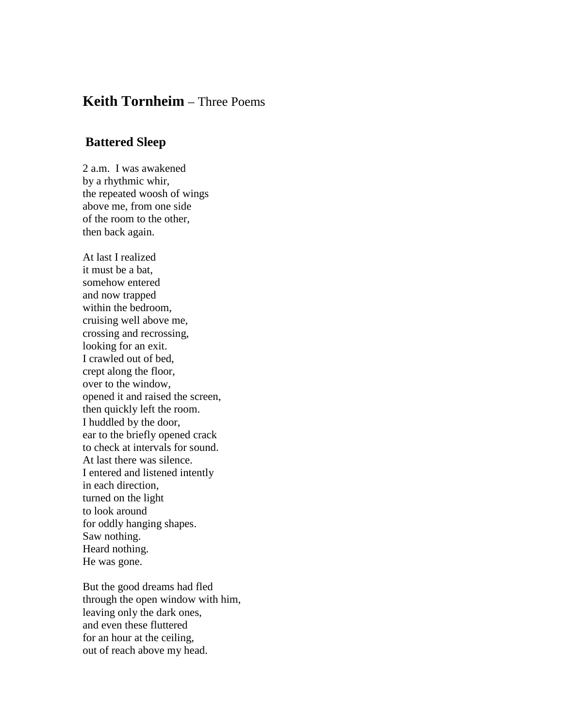## **Keith Tornheim** – Three Poems

## **Battered Sleep**

2 a.m. I was awakened by a rhythmic whir, the repeated woosh of wings above me, from one side of the room to the other, then back again.

At last I realized it must be a bat, somehow entered and now trapped within the bedroom, cruising well above me, crossing and recrossing, looking for an exit. I crawled out of bed, crept along the floor, over to the window, opened it and raised the screen, then quickly left the room. I huddled by the door, ear to the briefly opened crack to check at intervals for sound. At last there was silence. I entered and listened intently in each direction, turned on the light to look around for oddly hanging shapes. Saw nothing. Heard nothing. He was gone.

But the good dreams had fled through the open window with him, leaving only the dark ones, and even these fluttered for an hour at the ceiling, out of reach above my head.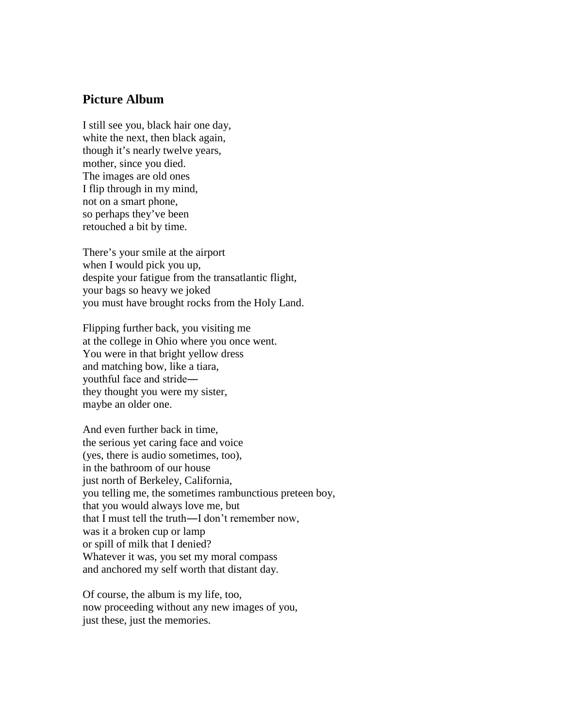## **Picture Album**

I still see you, black hair one day, white the next, then black again, though it's nearly twelve years, mother, since you died. The images are old ones I flip through in my mind, not on a smart phone, so perhaps they've been retouched a bit by time.

There's your smile at the airport when I would pick you up, despite your fatigue from the transatlantic flight, your bags so heavy we joked you must have brought rocks from the Holy Land.

Flipping further back, you visiting me at the college in Ohio where you once went. You were in that bright yellow dress and matching bow, like a tiara, youthful face and stride― they thought you were my sister, maybe an older one.

And even further back in time, the serious yet caring face and voice (yes, there is audio sometimes, too), in the bathroom of our house just north of Berkeley, California, you telling me, the sometimes rambunctious preteen boy, that you would always love me, but that I must tell the truth―I don't remember now, was it a broken cup or lamp or spill of milk that I denied? Whatever it was, you set my moral compass and anchored my self worth that distant day.

Of course, the album is my life, too, now proceeding without any new images of you, just these, just the memories.